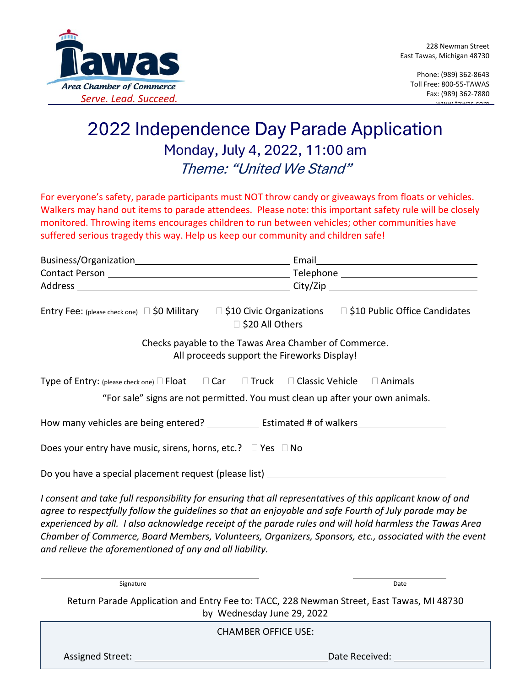

Phone: (989) 362-8643 Toll Free: 800-55-TAWAS Fax: (989) 362-7880 www.tawas.com

## 2022 Independence Day Parade Application Monday, July 4, 2022, 11:00 am Theme: "United We Stand"

For everyone's safety, parade participants must NOT throw candy or giveaways from floats or vehicles. Walkers may hand out items to parade attendees. Please note: this important safety rule will be closely monitored. Throwing items encourages children to run between vehicles; other communities have suffered serious tragedy this way. Help us keep our community and children safe!

| Entry Fee: (please check one) $\Box$ \$0 Military $\Box$ \$10 Civic Organizations<br>□ \$20 All Others<br>Checks payable to the Tawas Area Chamber of Commerce.                                                                                                                                                                                                                                                                                                                                       | □ \$10 Public Office Candidates |
|-------------------------------------------------------------------------------------------------------------------------------------------------------------------------------------------------------------------------------------------------------------------------------------------------------------------------------------------------------------------------------------------------------------------------------------------------------------------------------------------------------|---------------------------------|
| All proceeds support the Fireworks Display!                                                                                                                                                                                                                                                                                                                                                                                                                                                           |                                 |
| Type of Entry: (please check one) $\Box$ Float $\Box$ Car $\Box$ Truck $\Box$ Classic Vehicle $\Box$ Animals<br>"For sale" signs are not permitted. You must clean up after your own animals.                                                                                                                                                                                                                                                                                                         |                                 |
|                                                                                                                                                                                                                                                                                                                                                                                                                                                                                                       |                                 |
| Does your entry have music, sirens, horns, etc.? $\Box$ Yes $\Box$ No                                                                                                                                                                                                                                                                                                                                                                                                                                 |                                 |
| Do you have a special placement request (please list) ___________________________                                                                                                                                                                                                                                                                                                                                                                                                                     |                                 |
| I consent and take full responsibility for ensuring that all representatives of this applicant know of and<br>agree to respectfully follow the guidelines so that an enjoyable and safe Fourth of July parade may be<br>experienced by all. I also acknowledge receipt of the parade rules and will hold harmless the Tawas Area<br>Chamber of Commerce, Board Members, Volunteers, Organizers, Sponsors, etc., associated with the event<br>and relieve the aforementioned of any and all liability. |                                 |
| Signature                                                                                                                                                                                                                                                                                                                                                                                                                                                                                             | Date                            |
| Return Parade Application and Entry Fee to: TACC, 228 Newman Street, East Tawas, MI 48730<br>by Wednesday June 29, 2022                                                                                                                                                                                                                                                                                                                                                                               |                                 |
| <b>CHAMBER OFFICE USE:</b>                                                                                                                                                                                                                                                                                                                                                                                                                                                                            |                                 |

Assigned Street: Date Received: